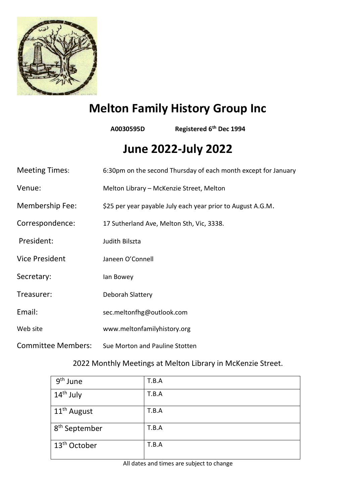

## **Melton Family History Group Inc**

**A0030595D Registered 6th Dec 1994**

# **June 2022-July 2022**

| <b>Meeting Times:</b>     | 6:30pm on the second Thursday of each month except for January |
|---------------------------|----------------------------------------------------------------|
| Venue:                    | Melton Library - McKenzie Street, Melton                       |
| <b>Membership Fee:</b>    | \$25 per year payable July each year prior to August A.G.M.    |
| Correspondence:           | 17 Sutherland Ave, Melton Sth, Vic, 3338.                      |
| President:                | Judith Bilszta                                                 |
| <b>Vice President</b>     | Janeen O'Connell                                               |
| Secretary:                | lan Bowey                                                      |
| Treasurer:                | Deborah Slattery                                               |
| Email:                    | sec.meltonfhg@outlook.com                                      |
| Web site                  | www.meltonfamilyhistory.org                                    |
| <b>Committee Members:</b> | Sue Morton and Pauline Stotten                                 |

## 2022 Monthly Meetings at Melton Library in McKenzie Street.

| 9 <sup>th</sup> June      | T.B.A |
|---------------------------|-------|
| 14 <sup>th</sup> July     | T.B.A |
| 11 <sup>th</sup> August   | T.B.A |
| 8 <sup>th</sup> September | T.B.A |
| 13 <sup>th</sup> October  | T.B.A |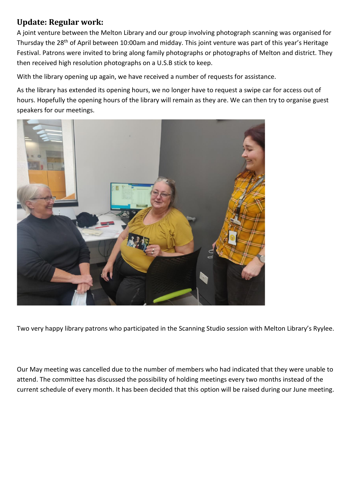## **Update: Regular work:**

A joint venture between the Melton Library and our group involving photograph scanning was organised for Thursday the 28<sup>th</sup> of April between 10:00am and midday. This joint venture was part of this year's Heritage Festival. Patrons were invited to bring along family photographs or photographs of Melton and district. They then received high resolution photographs on a U.S.B stick to keep.

With the library opening up again, we have received a number of requests for assistance.

As the library has extended its opening hours, we no longer have to request a swipe car for access out of hours. Hopefully the opening hours of the library will remain as they are. We can then try to organise guest speakers for our meetings.



Two very happy library patrons who participated in the Scanning Studio session with Melton Library's Ryylee.

Our May meeting was cancelled due to the number of members who had indicated that they were unable to attend. The committee has discussed the possibility of holding meetings every two months instead of the current schedule of every month. It has been decided that this option will be raised during our June meeting.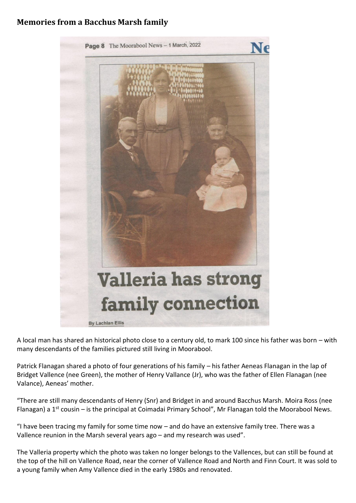## **Memories from a Bacchus Marsh family**



A local man has shared an historical photo close to a century old, to mark 100 since his father was born – with many descendants of the families pictured still living in Moorabool.

Patrick Flanagan shared a photo of four generations of his family – his father Aeneas Flanagan in the lap of Bridget Vallence (nee Green), the mother of Henry Vallance (Jr), who was the father of Ellen Flanagan (nee Valance), Aeneas' mother.

"There are still many descendants of Henry (Snr) and Bridget in and around Bacchus Marsh. Moira Ross (nee Flanagan) a 1<sup>st</sup> cousin – is the principal at Coimadai Primary School", Mr Flanagan told the Moorabool News.

"I have been tracing my family for some time now – and do have an extensive family tree. There was a Vallence reunion in the Marsh several years ago – and my research was used".

The Valleria property which the photo was taken no longer belongs to the Vallences, but can still be found at the top of the hill on Vallence Road, near the corner of Vallence Road and North and Finn Court. It was sold to a young family when Amy Vallence died in the early 1980s and renovated.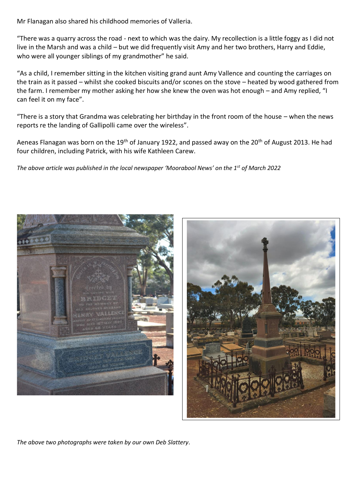Mr Flanagan also shared his childhood memories of Valleria.

"There was a quarry across the road - next to which was the dairy. My recollection is a little foggy as I did not live in the Marsh and was a child – but we did frequently visit Amy and her two brothers, Harry and Eddie, who were all younger siblings of my grandmother" he said.

"As a child, I remember sitting in the kitchen visiting grand aunt Amy Vallence and counting the carriages on the train as it passed – whilst she cooked biscuits and/or scones on the stove – heated by wood gathered from the farm. I remember my mother asking her how she knew the oven was hot enough – and Amy replied, "I can feel it on my face".

"There is a story that Grandma was celebrating her birthday in the front room of the house – when the news reports re the landing of Gallipolli came over the wireless".

Aeneas Flanagan was born on the 19<sup>th</sup> of January 1922, and passed away on the 20<sup>th</sup> of August 2013. He had four children, including Patrick, with his wife Kathleen Carew.

*The above article was published in the local newspaper 'Moorabool News' on the 1st of March 2022*



*The above two photographs were taken by our own Deb Slattery*.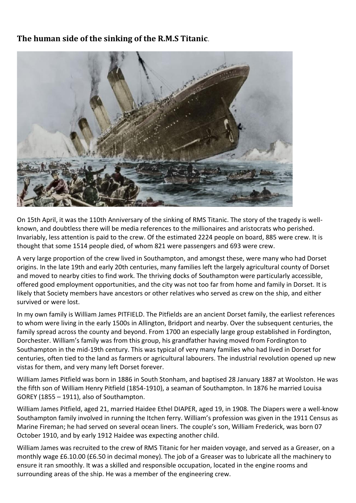## **The human side of the sinking of the R.M.S Titanic**.



On 15th April, it was the 110th Anniversary of the sinking of RMS Titanic. The story of the tragedy is wellknown, and doubtless there will be media references to the millionaires and aristocrats who perished. Invariably, less attention is paid to the crew. Of the estimated 2224 people on board, 885 were crew. It is thought that some 1514 people died, of whom 821 were passengers and 693 were crew.

A very large proportion of the crew lived in Southampton, and amongst these, were many who had Dorset origins. In the late 19th and early 20th centuries, many families left the largely agricultural county of Dorset and moved to nearby cities to find work. The thriving docks of Southampton were particularly accessible, offered good employment opportunities, and the city was not too far from home and family in Dorset. It is likely that Society members have ancestors or other relatives who served as crew on the ship, and either survived or were lost.

In my own family is William James PITFIELD. The Pitfields are an ancient Dorset family, the earliest references to whom were living in the early 1500s in Allington, Bridport and nearby. Over the subsequent centuries, the family spread across the county and beyond. From 1700 an especially large group established in Fordington, Dorchester. William's family was from this group, his grandfather having moved from Fordington to Southampton in the mid-19th century. This was typical of very many families who had lived in Dorset for centuries, often tied to the land as farmers or agricultural labourers. The industrial revolution opened up new vistas for them, and very many left Dorset forever.

William James Pitfield was born in 1886 in South Stonham, and baptised 28 January 1887 at Woolston. He was the fifth son of William Henry Pitfield (1854-1910), a seaman of Southampton. In 1876 he married Louisa GOREY (1855 – 1911), also of Southampton.

William James Pitfield, aged 21, married Haidee Ethel DIAPER, aged 19, in 1908. The Diapers were a well-know Southampton family involved in running the Itchen ferry. William's profession was given in the 1911 Census as Marine Fireman; he had served on several ocean liners. The couple's son, William Frederick, was born 07 October 1910, and by early 1912 Haidee was expecting another child.

William James was recruited to the crew of RMS Titanic for her maiden voyage, and served as a Greaser, on a monthly wage £6.10.00 (£6.50 in decimal money). The job of a Greaser was to lubricate all the machinery to ensure it ran smoothly. It was a skilled and responsible occupation, located in the engine rooms and surrounding areas of the ship. He was a member of the engineering crew.